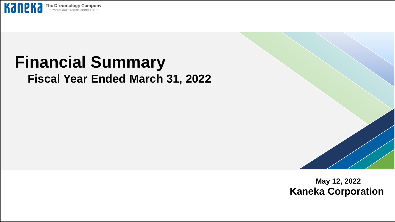

# **Financial Summary Fiscal Year Ended March 31, 2022**



**May 12, 2022 Kaneka Corporation**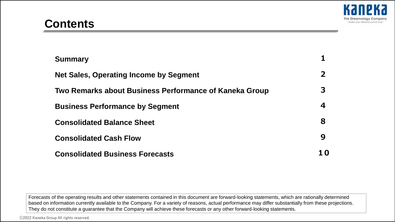| <b>Summary</b>                                         |              |
|--------------------------------------------------------|--------------|
| <b>Net Sales, Operating Income by Segment</b>          | $\mathbf{2}$ |
| Two Remarks about Business Performance of Kaneka Group | З            |
| <b>Business Performance by Segment</b>                 | 4            |
| <b>Consolidated Balance Sheet</b>                      | 8            |
| <b>Consolidated Cash Flow</b>                          | 9            |
| <b>Consolidated Business Forecasts</b>                 | 1 O          |

Forecasts of the operating results and other statements contained in this document are forward-looking statements, which are rationally determined based on information currently available to the Company. For a variety of reasons, actual performance may differ substantially from these projections. They do not constitute a guarantee that the Company will achieve these forecasts or any other forward-looking statements.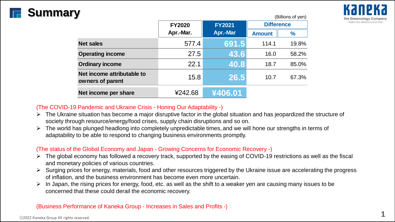# **Summary**

(Billions of yen)

|                                                | וייש ויט טווטווישן |                 |                   |               |  |  |  |  |
|------------------------------------------------|--------------------|-----------------|-------------------|---------------|--|--|--|--|
|                                                | <b>FY2020</b>      | <b>FY2021</b>   | <b>Difference</b> |               |  |  |  |  |
|                                                | Apr.-Mar.          | <b>Apr.-Mar</b> | <b>Amount</b>     | $\frac{9}{6}$ |  |  |  |  |
| <b>Net sales</b>                               | 577.4              | 691.5           | 114.1             | 19.8%         |  |  |  |  |
| <b>Operating income</b>                        | 27.5               | 43.6            | 16.0              | 58.2%         |  |  |  |  |
| <b>Ordinary income</b>                         | 22.1               | 40.8            | 18.7              | 85.0%         |  |  |  |  |
| Net income attributable to<br>owners of parent | 15.8               | 26.5            | 10.7              | 67.3%         |  |  |  |  |
| Net income per share                           | ¥242.68            | ¥406.01         |                   |               |  |  |  |  |

### (The COVID-19 Pandemic and Ukraine Crisis - Honing Our Adaptability -)

- $\triangleright$  The Ukraine situation has become a major disruptive factor in the global situation and has jeopardized the structure of society through resource/energy/food crises, supply chain disruptions and so on.
- $\triangleright$  The world has plunged headlong into completely unpredictable times, and we will hone our strengths in terms of adaptability to be able to respond to changing business environments promptly.

### (The status of the Global Economy and Japan - Growing Concerns for Economic Recovery -)

- $\triangleright$  The global economy has followed a recovery track, supported by the easing of COVID-19 restrictions as well as the fiscal and monetary policies of various countries.
- ➢ Surging prices for energy, materials, food and other resources triggered by the Ukraine issue are accelerating the progress of inflation, and the business environment has become even more uncertain.
- In Japan, the rising prices for energy, food, etc. as well as the shift to a weaker yen are causing many issues to be concerned that these could derail the economic recovery.

(Business Performance of Kaneka Group - Increases in Sales and Profits -)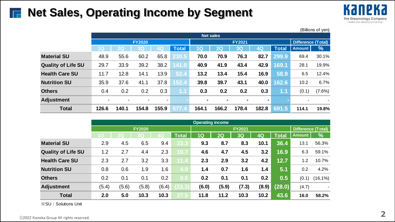# **Net Sales, Operating Income by Segment**



|                           | (Billions of yen)        |                |               |                |              |       |       |               |                |              |                           |           |  |
|---------------------------|--------------------------|----------------|---------------|----------------|--------------|-------|-------|---------------|----------------|--------------|---------------------------|-----------|--|
|                           |                          | Net sales      |               |                |              |       |       |               |                |              |                           |           |  |
|                           |                          |                | <b>FY2020</b> |                |              |       |       | <b>FY2021</b> |                |              | <b>Difference (Total)</b> |           |  |
|                           | 1 <sub>Q</sub>           | 2 <sub>Q</sub> | 3Q            | 4 <sub>O</sub> | <b>Total</b> | 1Q    | 2Q    | 3Q            | $4\Omega$      | <b>Total</b> | <b>Amount</b>             | %         |  |
| <b>Material SU</b>        | 48.9                     | 55.6           | 60.2          | 65.8           | 230.5        | 70.0  | 70.9  | 76.3          | 82.7           | 299.9        | 69.4                      | 30.1%     |  |
| <b>Quality of Life SU</b> | 29.7                     | 33.9           | 39.2          | 38.2           | 141.0        | 40.9  | 41.9  | 43.4          | 42.9           | 169.1        | 28.1                      | 19.9%     |  |
| <b>Health Care SU</b>     | 11.7                     | 12.8           | 14.1          | 13.9           | 52.4         | 13.2  | 13.4  | 15.4          | 16.9           | 58.9         | 6.5                       | 12.4%     |  |
| <b>Nutrition SU</b>       | 35.9                     | 37.6           | 41.1          | 37.8           | 152.4        | 39.8  | 39.7  | 43.1          | 40.0           | 162.6        | 10.2                      | 6.7%      |  |
| <b>Others</b>             | 0.4                      | 0.2            | 0.2           | 0.3            | 1.1          | 0.3   | 0.2   | 0.2           | 0.3            | 1.1          | (0.1)                     | $(7.6\%)$ |  |
| <b>Adjustment</b>         | $\overline{\phantom{0}}$ |                |               | ۰              |              |       | ۰     | ۰             | $\blacksquare$ |              |                           |           |  |
| <b>Total</b>              | 126.6                    | 140.1          | 154.8         | 155.9          | 577.4        | 164.1 | 166.2 | 178.4         | 182.8          | 691.5        | 114.1                     | 19.8%     |  |

|                           | <b>Operating income</b> |       |                |       |              |       |               |               |       |              |                    |               |
|---------------------------|-------------------------|-------|----------------|-------|--------------|-------|---------------|---------------|-------|--------------|--------------------|---------------|
|                           |                         |       | <b>FY2020</b>  |       |              |       |               | <b>FY2021</b> |       |              | Difference (Total) |               |
|                           | 10                      | 20    | 3 <sub>Q</sub> | 4Q    | <b>Total</b> | 1Q    | $2\mathsf{Q}$ | 3Q            | 4Q    | <b>Total</b> | <b>Amount</b>      | $\frac{9}{6}$ |
| <b>Material SU</b>        | 2.9                     | 4.5   | 6.5            | 9.4   | 23.3         | 9.3   | 8.7           | 8.3           | 10.1  | 36.4         | 13.1               | 56.3%         |
| <b>Quality of Life SU</b> | 1.2                     | 2.7   | 4.4            | 2.3   | 10.7         | 4.6   | 4.7           | 4.5           | 3.2   | 16.9         | 6.3                | 59.1%         |
| <b>Health Care SU</b>     | 2.3                     | 2.7   | 3.2            | 3.3   | 11.4         | 2.3   | 2.9           | 3.2           | 4.2   | 12.7         | 1.2                | 10.7%         |
| <b>Nutrition SU</b>       | 0.8                     | 0.6   | 1.9            | 1.6   | 4.9          | 1.4   | 0.7           | 1.6           | 1.4   | 5.1          | 0.2                | 4.2%          |
| <b>Others</b>             | 0.2                     | 0.1   | 0.1            | 0.2   | 0.6          | 0.2   | 0.1           | 0.1           | 0.2   | 0.5          | (0.1)              | $(16.1\%)$    |
| <b>Adjustment</b>         | (5.4)                   | (5.6) | (5.8)          | (6.4) | 23.3         | (6.0) | (5.9)         | (7.3)         | (8.9) | (28.0)       | (4.7)              |               |
| <b>Total</b>              | 2.0                     | 5.0   | 10.3           | 10.3  | 27.5         | 11.8  | 11.2          | 10.3          | 10.2  | 43.6         | 16.0               | 58.2%         |

※SU:Solutions Unit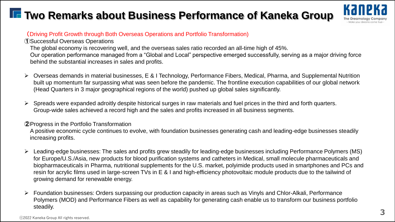# **The Two Remarks about Business Performance of Kaneka Group**



### (Driving Profit Growth through Both Overseas Operations and Portfolio Transformation)

①Successful Overseas Operations

The global economy is recovering well, and the overseas sales ratio recorded an all-time high of 45%. Our operation performance managed from a "Global and Local" perspective emerged successfully, serving as a major driving force behind the substantial increases in sales and profits.

- ➢ Overseas demands in material businesses, E & I Technology, Performance Fibers, Medical, Pharma, and Supplemental Nutrition built up momentum far surpassing what was seen before the pandemic. The frontline execution capabilities of our global network (Head Quarters in 3 major geographical regions of the world) pushed up global sales significantly.
- $\triangleright$  Spreads were expanded adroitly despite historical surges in raw materials and fuel prices in the third and forth quarters. Group-wide sales achieved a record high and the sales and profits increased in all business segments.

### ②Progress in the Portfolio Transformation

A positive economic cycle continues to evolve, with foundation businesses generating cash and leading-edge businesses steadily increasing profits.

- ➢ Leading-edge businesses: The sales and profits grew steadily for leading-edge businesses including Performance Polymers (MS) for Europe/U.S./Asia, new products for blood purification systems and catheters in Medical, small molecule pharmaceuticals and biopharmaceuticals in Pharma, nutritional supplements for the U.S. market, polyimide products used in smartphones and PCs and resin for acrylic films used in large-screen TVs in E & I and high-efficiency photovoltaic module products due to the tailwind of growing demand for renewable energy.
- ➢ Foundation businesses: Orders surpassing our production capacity in areas such as Vinyls and Chlor-Alkali, Performance Polymers (MOD) and Performance Fibers as well as capability for generating cash enable us to transform our business portfolio steadily.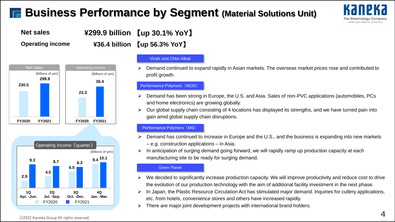# **Business Performance by Segment (Material Solutions Unit)**



**Net sales ¥299.9 billion** 【**up 30.1% YoY**】

**Operating income ¥36.4 billion** 【**up 56.3% YoY**】





### Vinyls and Chlor-Alkali

➢ Demand continued to expand rapidly in Asian markets. The overseas market prices rose and contributed to profit growth.

#### Performance Polymers (MOD)

- ➢ Demand has been strong in Europe, the U.S. and Asia. Sales of non-PVC applications (automobiles, PCs and home electronics) are growing globally.
- ➢ Our global supply chain consisting of 4 locations has displayed its strengths, and we have turned pain into gain amid global supply chain disruptions.

### Performance Polymers (MS)

- Demand has continued to increase in Europe and the U.S., and the business is expanding into new markets – e.g. construction applications – in Asia.
- $\triangleright$  In anticipation of surging demand going forward, we will rapidly ramp up production capacity at each manufacturing site to be ready for surging demand.

#### Green Planet

- We decided to significantly increase production capacity. We will improve productivity and reduce cost to drive the evolution of our production technology with the aim of additional facility investment in the next phase.
- ➢ In Japan, the Plastic Resource Circulation Act has stimulated major demand. Inquiries for cutlery applications, etc. from hotels, convenience stores and others have increased rapidly.
- $\triangleright$  There are major joint development projects with international brand holders.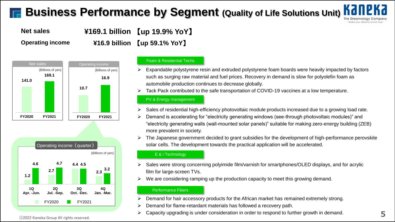# **Business Performance by Segment (Quality of Life Solutions Unit) N**



**Net sales ¥169.1 billion** 【**up 19.9% YoY**】 **Operating income ¥16.9 billion** 【**up 59.1% YoY**】





#### Foam & Residential Techs

- Expandable polystyrene resin and extruded polystyrene foam boards were heavily impacted by factors such as surging raw material and fuel prices. Recovery in demand is slow for polyolefin foam as automobile production continues to decrease globally.
- Tack Pack contributed to the safe transportation of COVID-19 vaccines at a low temperature.

#### PV & Energy management

- Sales of residential high-efficiency photovoltaic module products increased due to a growing load rate.
- ➢ Demand is accelerating for "electricity generating windows (see-through photovoltaic modules)" and "electricity generating walls (wall-mounted solar panels)" suitable for making zero-energy building (ZEB) more prevalent in society.
- ➢ The Japanese government decided to grant subsidies for the development of high-performance perovskite solar cells. The development towards the practical application will be accelerated.

#### E & I Technology

- Sales were strong concerning polyimide film/varnish for smartphones/OLED displays, and for acrylic film for large-screen TVs.
- We are considering ramping up the production capacity to meet this growing demand.

#### Performance Fibers

- ➢ Demand for hair accessory products for the African market has remained extremely strong.
- ➢ Demand for flame-retardant materials has followed a recovery path.
- ➢ Capacity upgrading is under consideration in order to respond to further growth in demand.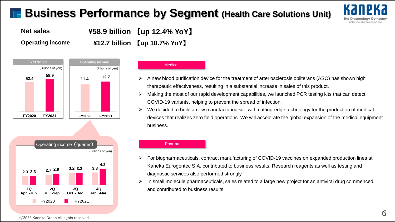# **F. Business Performance by Segment (Health Care Solutions Unit)**





**Operating income ¥12.7 billion** 【**up 10.7% YoY**】





- ➢ A new blood purification device for the treatment of arteriosclerosis obliterans (ASO) has shown high therapeutic effectiveness, resulting in a substantial increase in sales of this product.
- ➢ Making the most of our rapid development capabilities, we launched PCR testing kits that can detect COVID-19 variants, helping to prevent the spread of infection.
- ➢ We decided to build a new manufacturing site with cutting-edge technology for the production of medical devices that realizes zero field operations. We will accelerate the global expansion of the medical equipment business.

#### (Billions of yen) Operating income (quarter) ■ FY2020 ■ FY2021 **2.3 2.7 3.2 3.3 2.3 2.9 3.2 4.2 1Q Apr. -Jun. 2Q Jul. -Sep. 3Q Oct. -Dec. 4Q Jan. -Mar.**

#### Pharma

- ➢ For biopharmaceuticals, contract manufacturing of COVID-19 vaccines on expanded production lines at Kaneka Eurogentec S.A. contributed to business results. Research reagents as well as testing and diagnostic services also performed strongly.
- ➢ In small molecule pharmaceuticals, sales related to a large new project for an antiviral drug commenced and contributed to business results.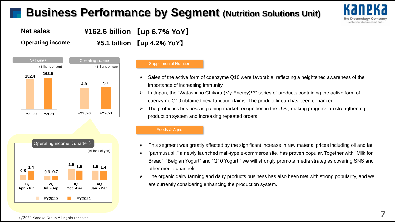# **Business Performance by Segment (Nutrition Solutions Unit)**





**Operating income ¥5.1 billion** 【**up 4.2**% **YoY**】





### Supplemental Nutrition

- Sales of the active form of coenzyme Q10 were favorable, reflecting a heightened awareness of the importance of increasing immunity.
- ➢ In Japan, the "Watashi no Chikara (My Energy)™" series of products containing the active form of coenzyme Q10 obtained new function claims. The product lineup has been enhanced.
- ➢ The probiotics business is gaining market recognition in the U.S., making progress on strengthening production system and increasing repeated orders.

#### Foods & Agris

- ➢ This segment was greatly affected by the significant increase in raw material prices including oil and fat.
- ➢ "panmusubi ," a newly launched mall-type e-commerce site, has proven popular. Together with "Milk for Bread", "Belgian Yogurt" and "Q10 Yogurt," we will strongly promote media strategies covering SNS and other media channels.
- ➢ The organic dairy farming and dairy products business has also been met with strong popularity, and we are currently considering enhancing the production system.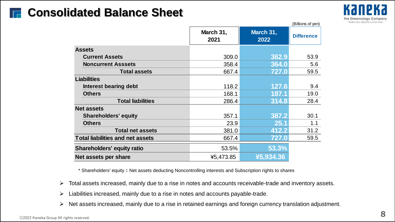

|                                         |                   |                   | (Billions of yen) |
|-----------------------------------------|-------------------|-------------------|-------------------|
|                                         | March 31,<br>2021 | March 31,<br>2022 | <b>Difference</b> |
| <b>Assets</b>                           |                   |                   |                   |
| <b>Current Assets</b>                   | 309.0             | 362.9             | 53.9              |
| <b>Noncurrent Asssets</b>               | 358.4             | 364.0             | 5.6               |
| <b>Total assets</b>                     | 667.4             | 727.0             | 59.5              |
| <b>Liabilities</b>                      |                   |                   |                   |
| Interest bearing debt                   | 118.2             | 127.6             | 9.4               |
| <b>Others</b>                           | 168.1             | 187.1             | 19.0              |
| <b>Total liabilities</b>                | 286.4             | 314.8             | 28.4              |
| <b>Net assets</b>                       |                   |                   |                   |
| <b>Shareholders' equity</b>             | 357.1             | 387.2             | 30.1              |
| <b>Others</b>                           | 23.9              | 25.1              | 1.1               |
| <b>Total net assets</b>                 | 381.0             | 412.2             | 31.2              |
| <b>Total liabilities and net assets</b> | 667.4             | 727.0             | 59.5              |
| <b>Shareholders' equity ratio</b>       | 53.5%             | 53.3%             |                   |
| Net assets per share                    | ¥5,473.85         | ¥5,934.36         |                   |

\* Shareholders' equity : Net assets deducting Noncontrolling interests and Subscription rights to shares

- ➢ Total assets increased, mainly due to a rise in notes and accounts receivable-trade and inventory assets.
- ➢ Liabilities increased, mainly due to a rise in notes and accounts payable-trade.
- ➢ Net assets increased, mainly due to a rise in retained earnings and foreign currency translation adjustment.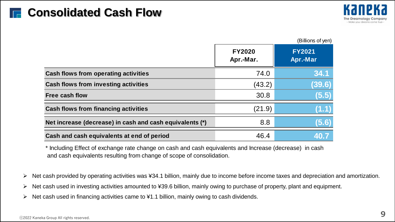

|                                                          |                            | (Billions of yen)         |
|----------------------------------------------------------|----------------------------|---------------------------|
|                                                          | <b>FY2020</b><br>Apr.-Mar. | <b>FY2021</b><br>Apr.-Mar |
| <b>Cash flows from operating activities</b>              | 74.0                       | 34.1                      |
| <b>Cash flows from investing activities</b>              | (43.2)                     | (39.6)                    |
| <b>Free cash flow</b>                                    | 30.8                       | (5.5                      |
| <b>Cash flows from financing activities</b>              | (21.9)                     |                           |
| Net increase (decrease) in cash and cash equivalents (*) | 8.8                        | (5.6)                     |
| Cash and cash equivalents at end of period               | 46.4                       |                           |

\* Including Effect of exchange rate change on cash and cash equivalents and Increase (decrease) in cash and cash equivalents resulting from change of scope of consolidation.

➢ Net cash provided by operating activities was ¥34.1 billion, mainly due to income before income taxes and depreciation and amortization.

- ➢ Net cash used in investing activities amounted to ¥39.6 billion, mainly owing to purchase of property, plant and equipment.
- ➢ Net cash used in financing activities came to ¥1.1 billion, mainly owing to cash dividends.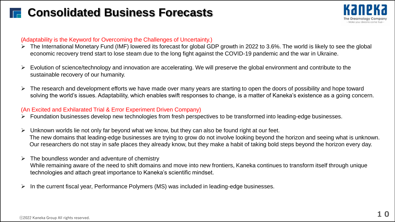# **E.** Consolidated Business Forecasts



### (Adaptability is the Keyword for Overcoming the Challenges of Uncertainty.)

- ➢ The International Monetary Fund (IMF) lowered its forecast for global GDP growth in 2022 to 3.6%. The world is likely to see the global economic recovery trend start to lose steam due to the long fight against the COVID-19 pandemic and the war in Ukraine.
- ➢ Evolution of science/technology and innovation are accelerating. We will preserve the global environment and contribute to the sustainable recovery of our humanity.
- ➢ The research and development efforts we have made over many years are starting to open the doors of possibility and hope toward solving the world's issues. Adaptability, which enables swift responses to change, is a matter of Kaneka's existence as a going concern.

### (An Excited and Exhilarated Trial & Error Experiment Driven Company)

- ➢ Foundation businesses develop new technologies from fresh perspectives to be transformed into leading-edge businesses.
- Unknown worlds lie not only far beyond what we know, but they can also be found right at our feet. The new domains that leading-edge businesses are trying to grow do not involve looking beyond the horizon and seeing what is unknown. Our researchers do not stay in safe places they already know, but they make a habit of taking bold steps beyond the horizon every day.
- The boundless wonder and adventure of chemistry While remaining aware of the need to shift domains and move into new frontiers, Kaneka continues to transform itself through unique technologies and attach great importance to Kaneka's scientific mindset.
- In the current fiscal year, Performance Polymers (MS) was included in leading-edge businesses.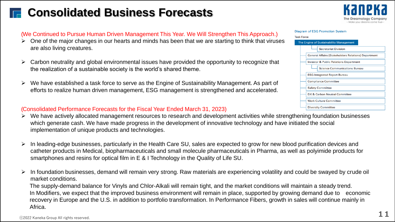# **Consolidated Business Forecasts**



Diagram of ESG Promotion System

The Engine of Sustainability Management

**ESG Integrated Report Bureau Compliance Committee Safety Committee** 

DX & Carbon Neutral Committee

**Work Culture Committee Diversity Committee** 

**Secretariat Division** 

**Investor & Public Relations Department** 

**General Affairs (Stakeholders Relations) Department** 

**Science Communications Bureau** 

**Task Force** 

### (We Continued to Pursue Human Driven Management This Year. We Will Strengthen This Approach.)

- ➢ One of the major changes in our hearts and minds has been that we are starting to think that viruses are also living creatures.
- ➢ Carbon neutrality and global environmental issues have provided the opportunity to recognize that the realization of a sustainable society is the world's shared theme.
- ➢ We have established a task force to serve as the Engine of Sustainability Management. As part of efforts to realize human driven management, ESG management is strengthened and accelerated.

### (Consolidated Performance Forecasts for the Fiscal Year Ended March 31, 2023)

- ➢ We have actively allocated management resources to research and development activities while strengthening foundation businesses which generate cash. We have made progress in the development of innovative technology and have initiated the social implementation of unique products and technologies.
- ➢ In leading-edge businesses, particularly in the Health Care SU, sales are expected to grow for new blood purification devices and catheter products in Medical, biopharmaceuticals and small molecule pharmaceuticals in Pharma, as well as polyimide products for smartphones and resins for optical film in E & I Technology in the Quality of Life SU.
- ➢ In foundation businesses, demand will remain very strong. Raw materials are experiencing volatility and could be swayed by crude oil market conditions.

The supply-demand balance for Vinyls and Chlor-Alkali will remain tight, and the market conditions will maintain a steady trend. In Modifiers, we expect that the improved business environment will remain in place, supported by growing demand due to economic recovery in Europe and the U.S. in addition to portfolio transformation. In Performance Fibers, growth in sales will continue mainly in Africa.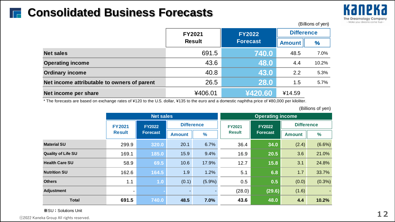# **THE Consolidated Business Forecasts**



|                                             | <b>FY2021</b> | <b>FY2022</b>   | <b>Difference</b> |         |  |  |  |
|---------------------------------------------|---------------|-----------------|-------------------|---------|--|--|--|
|                                             | <b>Result</b> | <b>Forecast</b> | <b>Amount</b>     | %       |  |  |  |
| <b>Net sales</b>                            | 691.5         | 740.0           | 48.5              | $7.0\%$ |  |  |  |
| <b>Operating income</b>                     | 43.6          | 48.0            | 4.4               | 10.2%   |  |  |  |
| <b>Ordinary income</b>                      | 40.8          | 43.0            | 2.2               | 5.3%    |  |  |  |
| Net income attributable to owners of parent | 26.5          | 28.0            | 1.5               | 5.7%    |  |  |  |
| Net income per share                        | ¥406.01       | ¥420.60         | ¥14.59            |         |  |  |  |

\* The forecasts are based on exchange rates of ¥120 to the U.S. dollar, ¥135 to the euro and a domestic naphtha price of ¥80,000 per kiloliter.

(Billions of yen)

(Billions of yen)

|                               |               | <b>Net sales</b> |                   |               | <b>Operating income</b> |               |                   |               |   |
|-------------------------------|---------------|------------------|-------------------|---------------|-------------------------|---------------|-------------------|---------------|---|
|                               | <b>FY2021</b> | <b>FY2022</b>    | <b>Difference</b> |               | <b>FY2021</b>           | <b>FY2022</b> | <b>Difference</b> |               |   |
|                               | <b>Result</b> | <b>Forecast</b>  | <b>Amount</b>     | $\frac{9}{6}$ | <b>Result</b>           |               | <b>Forecast</b>   | <b>Amount</b> | % |
| <b>Material SU</b>            | 299.9         | 320.0            | 20.1              | 6.7%          | 36.4                    | 34.0          | (2.4)             | $(6.6\%)$     |   |
| <b>Quality of Life SU</b>     | 169.1         | 185.0            | 15.9              | 9.4%          | 16.9                    | 20.5          | 3.6               | 21.0%         |   |
| <b>Health Care SU</b>         | 58.9          | 69.5             | 10.6              | 17.9%         | 12.7                    | 15.8          | 3.1               | 24.8%         |   |
| <b>Nutrition SU</b>           | 162.6         | 164.5            | 1.9               | 1.2%          | 5.1                     | 6.8           | 1.7               | 33.7%         |   |
| <b>Others</b>                 | 1.1           | 1.0              | (0.1)             | $(5.9\%)$     | 0.5                     | 0.5           | (0.0)             | $(0.3\%)$     |   |
| <b>Adjustment</b>             |               |                  |                   |               | (28.0)                  | (29.6)        | (1.6)             |               |   |
| <b>Total</b>                  | 691.5         | 740.0            | 48.5              | 7.0%          | 43.6                    | 48.0          | 4.4               | 10.2%         |   |
| <b>*SU: Solutions Unit</b>    |               |                  |                   |               |                         |               |                   |               |   |
| ka Group All rights reserved. |               |                  |                   |               |                         |               |                   |               |   |